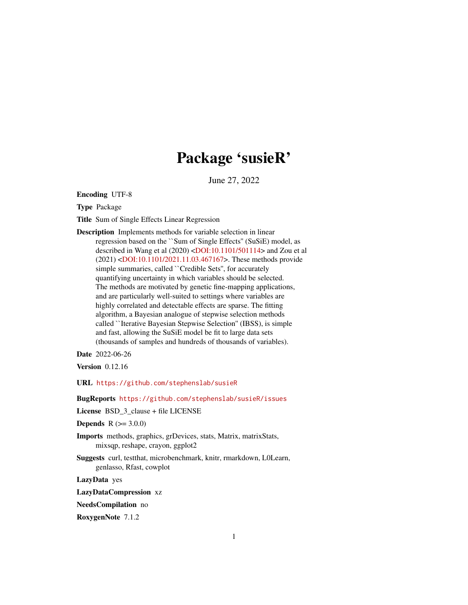# Package 'susieR'

June 27, 2022

<span id="page-0-0"></span>Encoding UTF-8

Type Package

Title Sum of Single Effects Linear Regression

Description Implements methods for variable selection in linear regression based on the ``Sum of Single Effects'' (SuSiE) model, as described in Wang et al (2020) [<DOI:10.1101/501114>](https://doi.org/10.1101/501114) and Zou et al (2021) [<DOI:10.1101/2021.11.03.467167>](https://doi.org/10.1101/2021.11.03.467167). These methods provide simple summaries, called ``Credible Sets'', for accurately quantifying uncertainty in which variables should be selected. The methods are motivated by genetic fine-mapping applications, and are particularly well-suited to settings where variables are highly correlated and detectable effects are sparse. The fitting algorithm, a Bayesian analogue of stepwise selection methods called ``Iterative Bayesian Stepwise Selection'' (IBSS), is simple and fast, allowing the SuSiE model be fit to large data sets (thousands of samples and hundreds of thousands of variables).

Date 2022-06-26

**Version** 0.12.16

URL <https://github.com/stephenslab/susieR>

BugReports <https://github.com/stephenslab/susieR/issues>

License BSD\_3\_clause + file LICENSE

**Depends**  $R (= 3.0.0)$ 

Imports methods, graphics, grDevices, stats, Matrix, matrixStats, mixsqp, reshape, crayon, ggplot2

Suggests curl, testthat, microbenchmark, knitr, rmarkdown, L0Learn, genlasso, Rfast, cowplot

LazyData yes

LazyDataCompression xz

NeedsCompilation no

RoxygenNote 7.1.2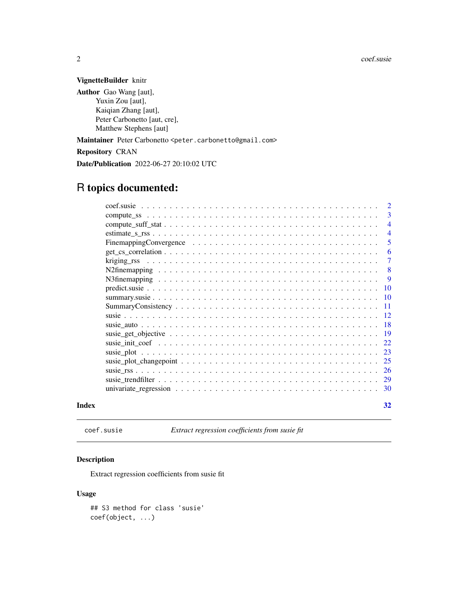#### VignetteBuilder knitr

Author Gao Wang [aut], Yuxin Zou [aut], Kaiqian Zhang [aut], Peter Carbonetto [aut, cre], Matthew Stephens [aut]

Maintainer Peter Carbonetto <peter.carbonetto@gmail.com>

Repository CRAN

Date/Publication 2022-06-27 20:10:02 UTC

## R topics documented:

|       |       | $\overline{2}$  |
|-------|-------|-----------------|
|       |       | 3               |
|       |       | $\overline{4}$  |
|       |       | $\overline{4}$  |
|       |       | 5               |
|       |       | 6               |
|       |       | 7               |
|       |       | 8               |
|       |       | -9              |
|       |       | -10             |
|       |       | <b>10</b>       |
|       |       | $\overline{11}$ |
|       | $-12$ |                 |
|       |       |                 |
|       |       |                 |
|       |       | 22              |
|       |       | 23              |
|       |       |                 |
|       |       |                 |
|       |       |                 |
|       |       |                 |
| Index |       | 32              |

coef.susie *Extract regression coefficients from susie fit*

#### Description

Extract regression coefficients from susie fit

#### Usage

## S3 method for class 'susie' coef(object, ...)

<span id="page-1-0"></span>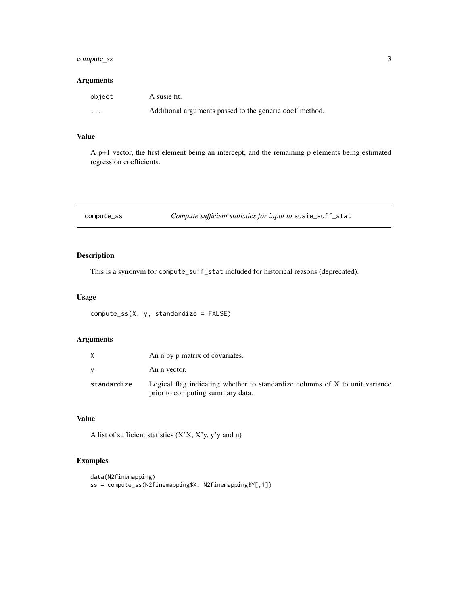### <span id="page-2-0"></span>compute\_ss 3

#### Arguments

| object | A susie fit.                                            |
|--------|---------------------------------------------------------|
| .      | Additional arguments passed to the generic coef method. |

### Value

A p+1 vector, the first element being an intercept, and the remaining p elements being estimated regression coefficients.

| compute_ss | Compute sufficient statistics for input to susie_suff_stat |  |
|------------|------------------------------------------------------------|--|
|------------|------------------------------------------------------------|--|

#### Description

This is a synonym for compute\_suff\_stat included for historical reasons (deprecated).

#### Usage

```
compute_ss(X, y, standardize = FALSE)
```
#### Arguments

|             | An n by p matrix of covariates.                                                                                  |
|-------------|------------------------------------------------------------------------------------------------------------------|
| v           | An n vector.                                                                                                     |
| standardize | Logical flag indicating whether to standardize columns of X to unit variance<br>prior to computing summary data. |

### Value

A list of sufficient statistics  $(X'X, X'y, y'y$  and n)

#### Examples

```
data(N2finemapping)
ss = compute_ss(N2finemapping$X, N2finemapping$Y[,1])
```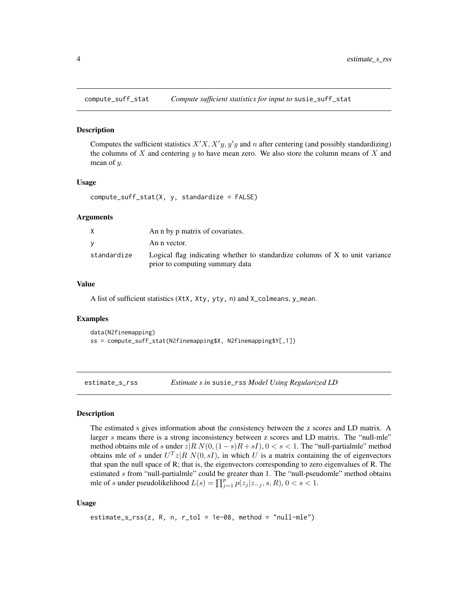<span id="page-3-0"></span>compute\_suff\_stat *Compute sufficient statistics for input to* susie\_suff\_stat

#### Description

Computes the sufficient statistics  $X'X, X'y, y'y$  and n after centering (and possibly standardizing) the columns of X and centering  $y$  to have mean zero. We also store the column means of X and mean of y.

#### Usage

compute\_suff\_stat(X, y, standardize = FALSE)

#### Arguments

|             | An n by p matrix of covariates.                                              |
|-------------|------------------------------------------------------------------------------|
|             | An n vector.                                                                 |
| standardize | Logical flag indicating whether to standardize columns of X to unit variance |
|             | prior to computing summary data                                              |

#### Value

A list of sufficient statistics (XtX, Xty, yty, n) and X\_colmeans, y\_mean.

#### Examples

```
data(N2finemapping)
ss = compute_suff_stat(N2finemapping$X, N2finemapping$Y[,1])
```
estimate\_s\_rss *Estimate s in* susie\_rss *Model Using Regularized LD*

#### Description

The estimated s gives information about the consistency between the z scores and LD matrix. A larger s means there is a strong inconsistency between z scores and LD matrix. The "null-mle" method obtains mle of s under  $z|R N(0,(1-s)R + sI)$ ,  $0 < s < 1$ . The "null-partialmle" method obtains mle of s under  $U^T z | R N(0, sI)$ , in which U is a matrix containing the of eigenvectors that span the null space of R; that is, the eigenvectors corresponding to zero eigenvalues of R. The estimated  $s$  from "null-partialmle" could be greater than 1. The "null-pseudomle" method obtains mle of s under pseudolikelihood  $L(s) = \prod_{j=1}^{p} p(z_j | z_{-j}, s, R)$ ,  $0 < s < 1$ .

#### Usage

```
estimate_s_rss(z, R, n, r_tol = 1e-08, method = "null-mle")
```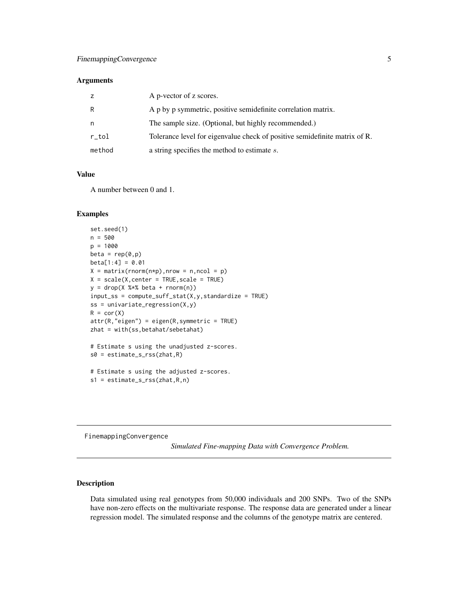#### <span id="page-4-0"></span>Arguments

|        | A p-vector of z scores.                                                    |
|--------|----------------------------------------------------------------------------|
| R      | A p by p symmetric, positive semidefinite correlation matrix.              |
| n      | The sample size. (Optional, but highly recommended.)                       |
| r_tol  | Tolerance level for eigenvalue check of positive semidefinite matrix of R. |
| method | a string specifies the method to estimate s.                               |

#### Value

A number between 0 and 1.

#### Examples

```
set.seed(1)
n = 500
p = 1000
beta = rep(0,p)beta[1:4] = 0.01X = matrix(rnorm(n*p), nrow = n, ncol = p)X = scale(X, center = TRUE, scale = TRUE)y = drop(X %*% beta + rnorm(n))input\_ss = compute\_suff\_stat(X, y, standardize = TRUE)ss = univariate_regression(X, y)R = cor(X)attr(R,"eigen") = eigen(R,symmetric = TRUE)
zhat = with(ss,betahat/sebetahat)
# Estimate s using the unadjusted z-scores.
s0 = estimate_s_rss(zhat,R)
# Estimate s using the adjusted z-scores.
s1 = estimate_s_rss(zhat,R,n)
```
FinemappingConvergence

*Simulated Fine-mapping Data with Convergence Problem.*

#### Description

Data simulated using real genotypes from 50,000 individuals and 200 SNPs. Two of the SNPs have non-zero effects on the multivariate response. The response data are generated under a linear regression model. The simulated response and the columns of the genotype matrix are centered.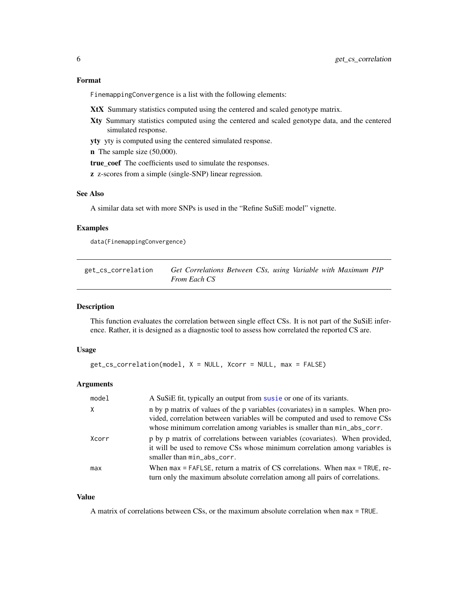#### <span id="page-5-0"></span>Format

FinemappingConvergence is a list with the following elements:

- XtX Summary statistics computed using the centered and scaled genotype matrix.
- Xty Summary statistics computed using the centered and scaled genotype data, and the centered simulated response.
- yty yty is computed using the centered simulated response.

n The sample size (50,000).

true\_coef The coefficients used to simulate the responses.

z z-scores from a simple (single-SNP) linear regression.

#### See Also

A similar data set with more SNPs is used in the "Refine SuSiE model" vignette.

#### Examples

data(FinemappingConvergence)

| get_cs_correlation | Get Correlations Between CSs, using Variable with Maximum PIP |  |  |  |
|--------------------|---------------------------------------------------------------|--|--|--|
|                    | <i>From Each CS</i>                                           |  |  |  |

#### Description

This function evaluates the correlation between single effect CSs. It is not part of the SuSiE inference. Rather, it is designed as a diagnostic tool to assess how correlated the reported CS are.

#### Usage

```
get_cs_correlation(model, X = NULL, Xcorr = NULL, max = FALSE)
```
#### Arguments

| model | A SuSiE fit, typically an output from susie or one of its variants.                                                                                                                                                                        |
|-------|--------------------------------------------------------------------------------------------------------------------------------------------------------------------------------------------------------------------------------------------|
| X     | n by p matrix of values of the p variables (covariates) in n samples. When pro-<br>vided, correlation between variables will be computed and used to remove CSs<br>whose minimum correlation among variables is smaller than min_abs_corr. |
| Xcorr | p by p matrix of correlations between variables (covariates). When provided,<br>it will be used to remove CSs whose minimum correlation among variables is<br>smaller than min_abs_corr.                                                   |
| max   | When $max = FAFLSE$ , return a matrix of CS correlations. When $max = TRUE$ , re-<br>turn only the maximum absolute correlation among all pairs of correlations.                                                                           |

#### Value

A matrix of correlations between CSs, or the maximum absolute correlation when max = TRUE.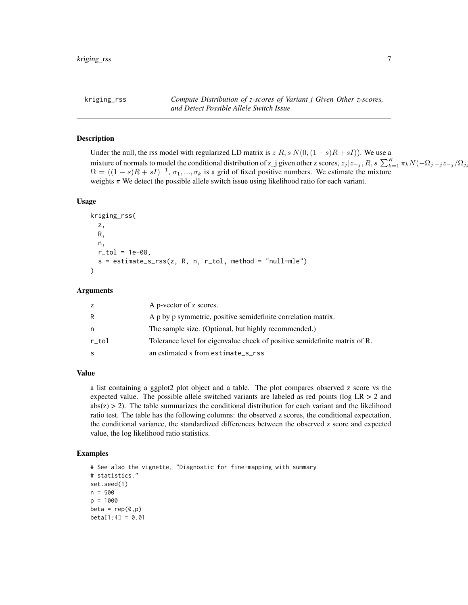<span id="page-6-0"></span>kriging\_rss *Compute Distribution of z-scores of Variant j Given Other z-scores, and Detect Possible Allele Switch Issue*

#### **Description**

Under the null, the rss model with regularized LD matrix is  $z|R, s N(0,(1-s)R + sI)$ . We use a mixture of normals to model the conditional distribution of z\_j given other z scores,  $z_j | z_{-j}$ ,  $R$ ,  $s \sum_{k=1}^{K} \pi_k N(-\Omega_{j,-j} z_{-j}/\Omega_{j,j}$  $\Omega = ((1-s)R + sI)^{-1}, \sigma_1, ..., \sigma_k$  is a grid of fixed positive numbers. We estimate the mixture weights  $\pi$  We detect the possible allele switch issue using likelihood ratio for each variant.

#### Usage

```
kriging_rss(
  z,
  R,
  n,
  r_{-}tol = 1e-08,
  s = estimate_s_rss(z, R, n, r_to, method = "null-mle")\mathcal{L}
```
#### Arguments

| z     | A p-vector of z scores.                                                    |
|-------|----------------------------------------------------------------------------|
| R     | A p by p symmetric, positive semidefinite correlation matrix.              |
| n     | The sample size. (Optional, but highly recommended.)                       |
| r tol | Tolerance level for eigenvalue check of positive semidefinite matrix of R. |
| S     | an estimated s from estimate_s_rss                                         |

#### Value

a list containing a ggplot2 plot object and a table. The plot compares observed z score vs the expected value. The possible allele switched variants are labeled as red points (log  $LR > 2$  and  $abs(z) > 2$ ). The table summarizes the conditional distribution for each variant and the likelihood ratio test. The table has the following columns: the observed z scores, the conditional expectation, the conditional variance, the standardized differences between the observed z score and expected value, the log likelihood ratio statistics.

#### Examples

```
# See also the vignette, "Diagnostic for fine-mapping with summary
# statistics."
set.seed(1)
n = 500p = 1000beta = rep(0,p)beta[1:4] = 0.01
```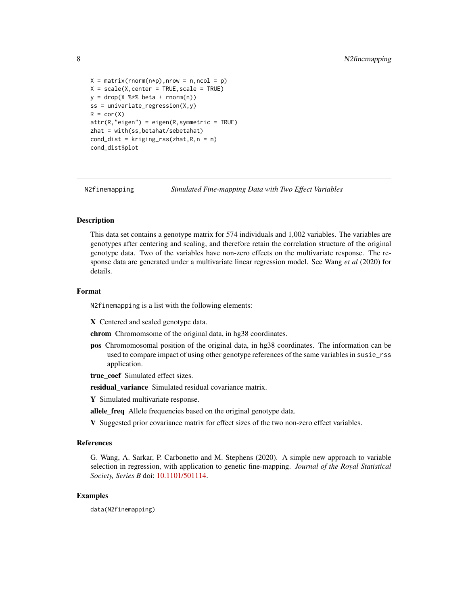```
X = matrix(rnorm(n*p), nrow = n, ncol = p)X = scale(X, center = TRUE, scale = TRUE)y = drop(X % * % * beta + rnorm(n))ss = univariate_regression(X, y)
R = cor(X)attr(R, "eigen") = eigen(R, symmetric = TRUE)zhat = with(ss,betahat/sebetahat)
cond_dist = kriging_rss(zhat,R,n = n)
cond_dist$plot
```
N2finemapping *Simulated Fine-mapping Data with Two Effect Variables*

#### Description

This data set contains a genotype matrix for 574 individuals and 1,002 variables. The variables are genotypes after centering and scaling, and therefore retain the correlation structure of the original genotype data. Two of the variables have non-zero effects on the multivariate response. The response data are generated under a multivariate linear regression model. See Wang *et al* (2020) for details.

#### Format

N2finemapping is a list with the following elements:

X Centered and scaled genotype data.

chrom Chromomsome of the original data, in hg38 coordinates.

- pos Chromomosomal position of the original data, in hg38 coordinates. The information can be used to compare impact of using other genotype references of the same variables in susie\_rss application.
- true coef Simulated effect sizes.

residual\_variance Simulated residual covariance matrix.

Y Simulated multivariate response.

allele\_freq Allele frequencies based on the original genotype data.

V Suggested prior covariance matrix for effect sizes of the two non-zero effect variables.

#### References

G. Wang, A. Sarkar, P. Carbonetto and M. Stephens (2020). A simple new approach to variable selection in regression, with application to genetic fine-mapping. *Journal of the Royal Statistical Society, Series B* doi: [10.1101/501114.](https://doi.org/10.1101/501114)

#### Examples

data(N2finemapping)

<span id="page-7-0"></span>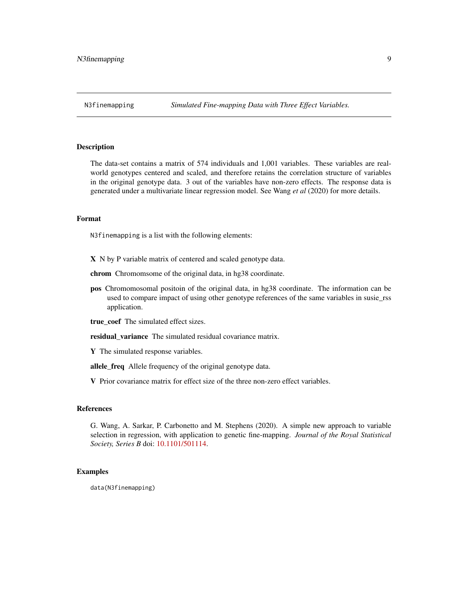#### <span id="page-8-0"></span>Description

The data-set contains a matrix of 574 individuals and 1,001 variables. These variables are realworld genotypes centered and scaled, and therefore retains the correlation structure of variables in the original genotype data. 3 out of the variables have non-zero effects. The response data is generated under a multivariate linear regression model. See Wang *et al* (2020) for more details.

#### Format

N3finemapping is a list with the following elements:

- X N by P variable matrix of centered and scaled genotype data.
- chrom Chromomsome of the original data, in hg38 coordinate.
- pos Chromomosomal positoin of the original data, in hg38 coordinate. The information can be used to compare impact of using other genotype references of the same variables in susie\_rss application.
- true\_coef The simulated effect sizes.
- residual\_variance The simulated residual covariance matrix.
- Y The simulated response variables.
- allele\_freq Allele frequency of the original genotype data.
- V Prior covariance matrix for effect size of the three non-zero effect variables.

#### References

G. Wang, A. Sarkar, P. Carbonetto and M. Stephens (2020). A simple new approach to variable selection in regression, with application to genetic fine-mapping. *Journal of the Royal Statistical Society, Series B* doi: [10.1101/501114.](https://doi.org/10.1101/501114)

#### Examples

data(N3finemapping)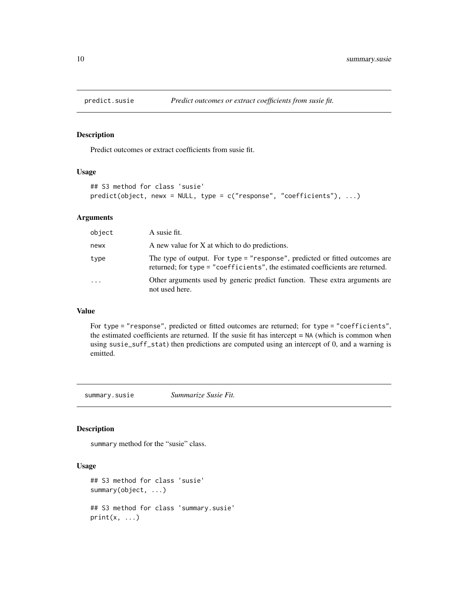<span id="page-9-0"></span>

#### Description

Predict outcomes or extract coefficients from susie fit.

#### Usage

```
## S3 method for class 'susie'
predict(object, newx = NULL, type = c("response", "coefficients"), ...)
```
#### Arguments

| object   | A susie fit.                                                                                                                                                 |
|----------|--------------------------------------------------------------------------------------------------------------------------------------------------------------|
| newx     | A new value for X at which to do predictions.                                                                                                                |
| type     | The type of output. For type = "response", predicted or fitted outcomes are<br>returned; for type = "coefficients", the estimated coefficients are returned. |
| $\cdots$ | Other arguments used by generic predict function. These extra arguments are<br>not used here.                                                                |

### Value

For type = "response", predicted or fitted outcomes are returned; for type = "coefficients", the estimated coefficients are returned. If the susie fit has intercept = NA (which is common when using susie\_suff\_stat) then predictions are computed using an intercept of 0, and a warning is emitted.

summary.susie *Summarize Susie Fit.*

#### Description

summary method for the "susie" class.

#### Usage

```
## S3 method for class 'susie'
summary(object, ...)
## S3 method for class 'summary.susie'
print(x, \ldots)
```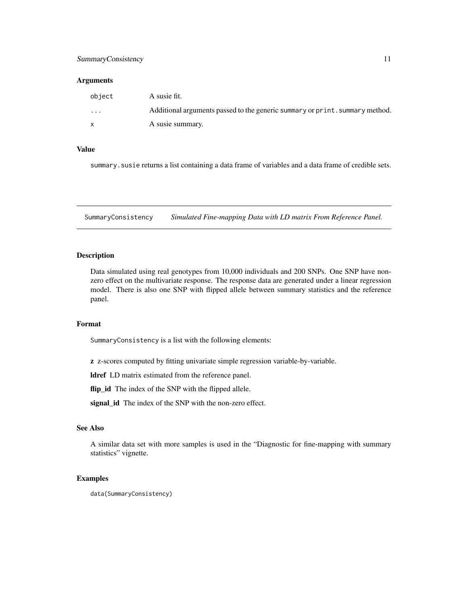#### <span id="page-10-0"></span>SummaryConsistency 11

#### Arguments

| object  | A susie fit.                                                                 |
|---------|------------------------------------------------------------------------------|
| $\cdot$ | Additional arguments passed to the generic summary or print. summary method. |
|         | A susie summary.                                                             |

#### Value

summary.susie returns a list containing a data frame of variables and a data frame of credible sets.

SummaryConsistency *Simulated Fine-mapping Data with LD matrix From Reference Panel.*

#### Description

Data simulated using real genotypes from 10,000 individuals and 200 SNPs. One SNP have nonzero effect on the multivariate response. The response data are generated under a linear regression model. There is also one SNP with flipped allele between summary statistics and the reference panel.

#### Format

SummaryConsistency is a list with the following elements:

z z-scores computed by fitting univariate simple regression variable-by-variable.

ldref LD matrix estimated from the reference panel.

flip\_id The index of the SNP with the flipped allele.

signal\_id The index of the SNP with the non-zero effect.

#### See Also

A similar data set with more samples is used in the "Diagnostic for fine-mapping with summary statistics" vignette.

#### Examples

data(SummaryConsistency)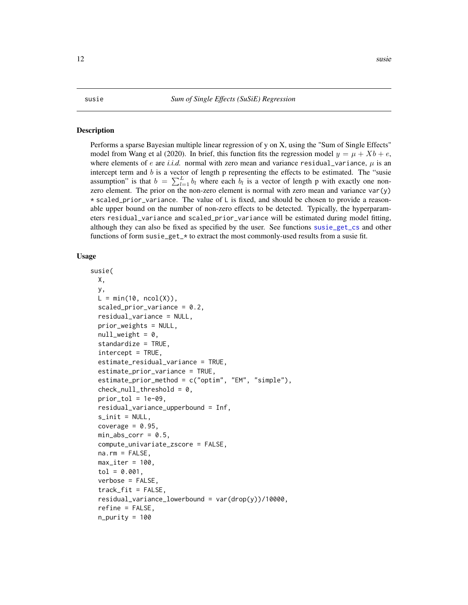#### <span id="page-11-2"></span><span id="page-11-1"></span><span id="page-11-0"></span>Description

Performs a sparse Bayesian multiple linear regression of y on X, using the "Sum of Single Effects" model from Wang et al (2020). In brief, this function fits the regression model  $y = \mu + Xb + e$ , where elements of e are *i.i.d.* normal with zero mean and variance residual\_variance,  $\mu$  is an intercept term and b is a vector of length p representing the effects to be estimated. The "susie assumption" is that  $b = \sum_{l=1}^{L} b_l$  where each  $b_l$  is a vector of length p with exactly one nonzero element. The prior on the non-zero element is normal with zero mean and variance  $var(y)$  $*$  scaled\_prior\_variance. The value of L is fixed, and should be chosen to provide a reasonable upper bound on the number of non-zero effects to be detected. Typically, the hyperparameters residual\_variance and scaled\_prior\_variance will be estimated during model fitting, although they can also be fixed as specified by the user. See functions [susie\\_get\\_cs](#page-18-1) and other functions of form susie\_get\_\* to extract the most commonly-used results from a susie fit.

#### Usage

```
susie(
  X,
  y,
  L = min(10, ncol(X)),scaled\_prior\_variance = 0.2,
  residual_variance = NULL,
  prior_weights = NULL,
  null weight = 0,
  standardize = TRUE,
  intercept = TRUE,
  estimate_residual_variance = TRUE,
  estimate_prior_variance = TRUE,
  estimate_prior_method = c("optim", "EM", "simple"),
  check\_null\_threshold = 0,
  prior\_tol = 1e-09,
  residual_variance_upperbound = Inf,
  s_init = NULL,
  coverage = 0.95,
  min\_abs\_corr = 0.5,
  compute_univariate_zscore = FALSE,
  na.rm = FALSE,max\_iter = 100,
  tol = 0.001,
  verbose = FALSE,
  track_fit = FALSE,residual_variance_lowerbound = var(drop(y))/10000,
  refine = FALSE,
  n_purity = 100
```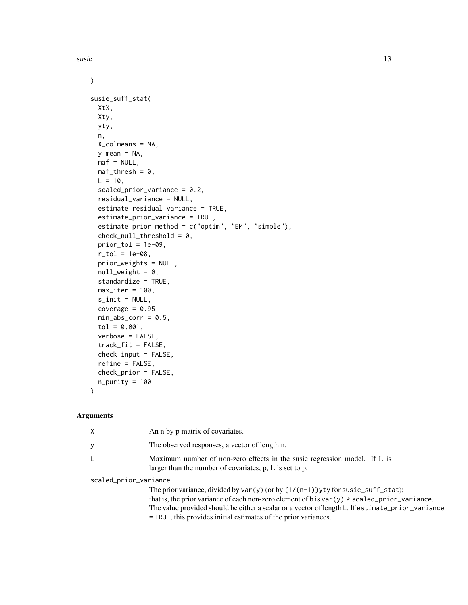$s$ usie 13

```
\mathcal{L}susie_suff_stat(
 XtX,
 Xty,
 yty,
 n,
 X_colmeans = NA,
 y_mean = NA,
 \text{maf} = \text{NULL},
 maf-thresh = 0,
 L = 10,
  scaled_prior_variance = 0.2,
  residual_variance = NULL,
  estimate_residual_variance = TRUE,
  estimate_prior_variance = TRUE,
  estimate_prior_method = c("optim", "EM", "simple"),
  check_null_threshold = 0,
 prior\_tol = 1e-09,
  r_{10} = 1e-08,
  prior_weights = NULL,
  null\_weight = 0,standardize = TRUE,
 max\_iter = 100,
  s\_init = NULL,coverage = 0.95,
 min\_abs\_corr = 0.5,
  tol = 0.001,verbose = FALSE,
  track_fit = FALSE,
  check\_input = FALSE,refine = FALSE,
  check_prior = FALSE,
  n\_purity = 100
```
 $\mathcal{L}$ 

#### Arguments

| Χ                     | An n by p matrix of covariates.                                                                                                                                                                                                                                                                                                                              |
|-----------------------|--------------------------------------------------------------------------------------------------------------------------------------------------------------------------------------------------------------------------------------------------------------------------------------------------------------------------------------------------------------|
|                       | The observed responses, a vector of length n.                                                                                                                                                                                                                                                                                                                |
|                       | Maximum number of non-zero effects in the susie regression model. If L is<br>larger than the number of covariates, $p$ , $L$ is set to $p$ .                                                                                                                                                                                                                 |
| scaled_prior_variance |                                                                                                                                                                                                                                                                                                                                                              |
|                       | The prior variance, divided by var(y) (or by $(1/(n-1))$ yty for susie_suff_stat);<br>that is, the prior variance of each non-zero element of b is $var(y) * scaled$ -prior-variance.<br>The value provided should be either a scalar or a vector of length L. If estimate_prior_variance<br>= TRUE, this provides initial estimates of the prior variances. |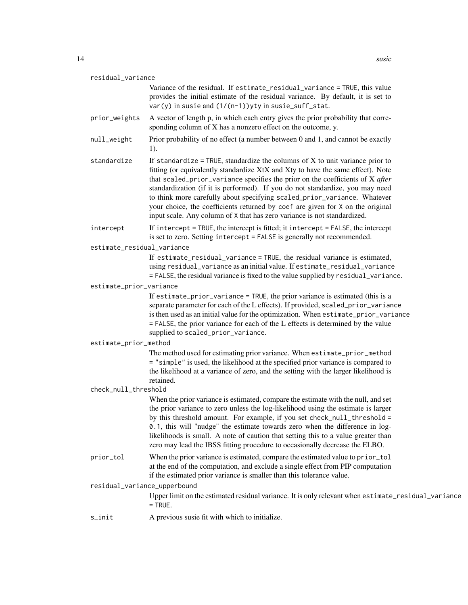| residual variance |  |  |
|-------------------|--|--|
|-------------------|--|--|

Variance of the residual. If estimate\_residual\_variance = TRUE, this value provides the initial estimate of the residual variance. By default, it is set to  $var(y)$  in susie and  $(1/(n-1))$ yty in susie\_suff\_stat.

- prior\_weights A vector of length p, in which each entry gives the prior probability that corresponding column of X has a nonzero effect on the outcome, y.
- null\_weight Prior probability of no effect (a number between 0 and 1, and cannot be exactly 1).
- standardize If standardize = TRUE, standardize the columns of  $X$  to unit variance prior to fitting (or equivalently standardize XtX and Xty to have the same effect). Note that scaled\_prior\_variance specifies the prior on the coefficients of X *after* standardization (if it is performed). If you do not standardize, you may need to think more carefully about specifying scaled\_prior\_variance. Whatever your choice, the coefficients returned by coef are given for X on the original input scale. Any column of X that has zero variance is not standardized.
- intercept If intercept = TRUE, the intercept is fitted; it intercept = FALSE, the intercept is set to zero. Setting intercept = FALSE is generally not recommended.
- estimate\_residual\_variance

If estimate\_residual\_variance = TRUE, the residual variance is estimated, using residual\_variance as an initial value. If estimate\_residual\_variance = FALSE, the residual variance is fixed to the value supplied by residual\_variance.

estimate\_prior\_variance

If estimate\_prior\_variance = TRUE, the prior variance is estimated (this is a separate parameter for each of the L effects). If provided, scaled\_prior\_variance is then used as an initial value for the optimization. When estimate\_prior\_variance = FALSE, the prior variance for each of the L effects is determined by the value supplied to scaled\_prior\_variance.

#### estimate\_prior\_method

The method used for estimating prior variance. When estimate\_prior\_method = "simple" is used, the likelihood at the specified prior variance is compared to the likelihood at a variance of zero, and the setting with the larger likelihood is retained.

#### check\_null\_threshold

When the prior variance is estimated, compare the estimate with the null, and set the prior variance to zero unless the log-likelihood using the estimate is larger by this threshold amount. For example, if you set check\_null\_threshold = 0.1, this will "nudge" the estimate towards zero when the difference in loglikelihoods is small. A note of caution that setting this to a value greater than zero may lead the IBSS fitting procedure to occasionally decrease the ELBO.

prior\_tol When the prior variance is estimated, compare the estimated value to prior\_tol at the end of the computation, and exclude a single effect from PIP computation if the estimated prior variance is smaller than this tolerance value.

#### residual\_variance\_upperbound

Upper limit on the estimated residual variance. It is only relevant when estimate\_residual\_variance = TRUE.

s\_init A previous susie fit with which to initialize.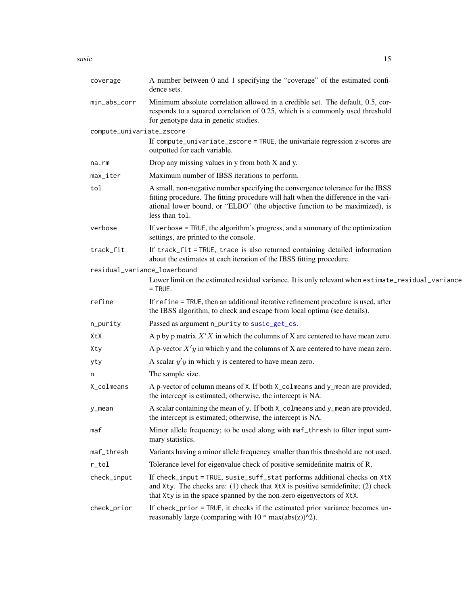<span id="page-14-0"></span>

| coverage                  | A number between 0 and 1 specifying the "coverage" of the estimated confi-<br>dence sets.                                                                                                                                                                              |
|---------------------------|------------------------------------------------------------------------------------------------------------------------------------------------------------------------------------------------------------------------------------------------------------------------|
| min_abs_corr              | Minimum absolute correlation allowed in a credible set. The default, 0.5, cor-<br>responds to a squared correlation of 0.25, which is a commonly used threshold<br>for genotype data in genetic studies.                                                               |
| compute_univariate_zscore |                                                                                                                                                                                                                                                                        |
|                           | If compute_univariate_zscore = TRUE, the univariate regression z-scores are<br>outputted for each variable.                                                                                                                                                            |
| na.rm                     | Drop any missing values in y from both X and y.                                                                                                                                                                                                                        |
| max_iter                  | Maximum number of IBSS iterations to perform.                                                                                                                                                                                                                          |
| tol                       | A small, non-negative number specifying the convergence tolerance for the IBSS<br>fitting procedure. The fitting procedure will halt when the difference in the vari-<br>ational lower bound, or "ELBO" (the objective function to be maximized), is<br>less than tol. |
| verbose                   | If verbose $=$ TRUE, the algorithm's progress, and a summary of the optimization<br>settings, are printed to the console.                                                                                                                                              |
| track_fit                 | If track_fit = TRUE, trace is also returned containing detailed information<br>about the estimates at each iteration of the IBSS fitting procedure.                                                                                                                    |
|                           | residual_variance_lowerbound                                                                                                                                                                                                                                           |
|                           | Lower limit on the estimated residual variance. It is only relevant when estimate_residual_variance<br>$=$ TRUE.                                                                                                                                                       |
| refine                    | If refine = TRUE, then an additional iterative refinement procedure is used, after<br>the IBSS algorithm, to check and escape from local optima (see details).                                                                                                         |
| n_purity                  | Passed as argument n_purity to susie_get_cs.                                                                                                                                                                                                                           |
| XtX                       | A p by p matrix $X'X$ in which the columns of X are centered to have mean zero.                                                                                                                                                                                        |
| Xty                       | A p-vector $X'y$ in which y and the columns of X are centered to have mean zero.                                                                                                                                                                                       |
| yty                       | A scalar $y'y$ in which y is centered to have mean zero.                                                                                                                                                                                                               |
| n                         | The sample size.                                                                                                                                                                                                                                                       |
| X_colmeans                | A p-vector of column means of X. If both X_colmeans and y_mean are provided,<br>the intercept is estimated; otherwise, the intercept is NA.                                                                                                                            |
| y_mean                    | A scalar containing the mean of y. If both X_colmeans and y_mean are provided,<br>the intercept is estimated; otherwise, the intercept is NA.                                                                                                                          |
| maf                       | Minor allele frequency; to be used along with maf_thresh to filter input sum-<br>mary statistics.                                                                                                                                                                      |
| maf_thresh                | Variants having a minor allele frequency smaller than this threshold are not used.                                                                                                                                                                                     |
| $r\_tol$                  | Tolerance level for eigenvalue check of positive semidefinite matrix of R.                                                                                                                                                                                             |
| check_input               | If check_input = TRUE, susie_suff_stat performs additional checks on XtX<br>and Xty. The checks are: (1) check that XtX is positive semidefinite; (2) check<br>that Xty is in the space spanned by the non-zero eigenvectors of XtX.                                   |
| check_prior               | If check_prior = TRUE, it checks if the estimated prior variance becomes un-<br>reasonably large (comparing with $10 * max(abs(z))^2$ ).                                                                                                                               |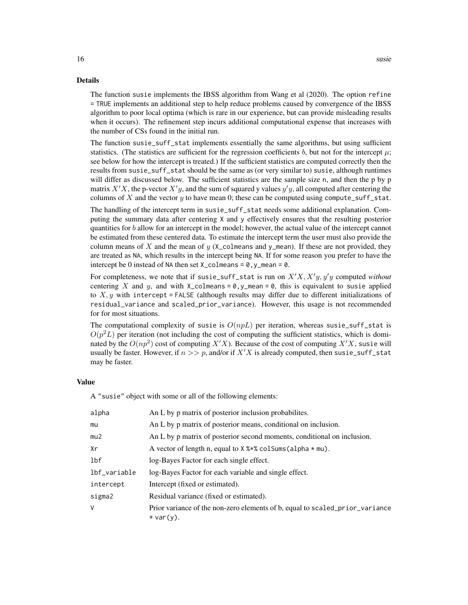#### Details

The function susie implements the IBSS algorithm from Wang et al (2020). The option refine = TRUE implements an additional step to help reduce problems caused by convergence of the IBSS algorithm to poor local optima (which is rare in our experience, but can provide misleading results when it occurs). The refinement step incurs additional computational expense that increases with the number of CSs found in the initial run.

The function susie\_suff\_stat implements essentially the same algorithms, but using sufficient statistics. (The statistics are sufficient for the regression coefficients b, but not for the intercept  $\mu$ ; see below for how the intercept is treated.) If the sufficient statistics are computed correctly then the results from susie\_suff\_stat should be the same as (or very similar to) susie, although runtimes will differ as discussed below. The sufficient statistics are the sample size n, and then the p by p matrix  $X'X$ , the p-vector  $X'y$ , and the sum of squared y values  $y'y$ , all computed after centering the columns of  $X$  and the vector  $y$  to have mean 0; these can be computed using compute\_suff\_stat.

The handling of the intercept term in susie\_suff\_stat needs some additional explanation. Computing the summary data after centering X and y effectively ensures that the resulting posterior quantities for b allow for an intercept in the model; however, the actual value of the intercept cannot be estimated from these centered data. To estimate the intercept term the user must also provide the column means of X and the mean of y  $(X_{\text{c}}$  colmeans and y\_mean). If these are not provided, they are treated as NA, which results in the intercept being NA. If for some reason you prefer to have the intercept be 0 instead of NA then set  $X_{\text{collmeans}} = \emptyset$ , y\_mean =  $\emptyset$ .

For completeness, we note that if susie\_suff\_stat is run on  $X'X, X'y, y'y$  computed *without* centering X and y, and with X\_colmeans =  $\theta$ , y\_mean =  $\theta$ , this is equivalent to susie applied to  $X, y$  with intercept = FALSE (although results may differ due to different initializations of residual\_variance and scaled\_prior\_variance). However, this usage is not recommended for for most situations.

The computational complexity of susie is  $O(npL)$  per iteration, whereas susie\_suff\_stat is  $O(p^2L)$  per iteration (not including the cost of computing the sufficient statistics, which is dominated by the  $O(np^2)$  cost of computing  $X'X$ ). Because of the cost of computing  $X'X$ , susie will usually be faster. However, if  $n >> p$ , and/or if  $X'X$  is already computed, then susie\_suff\_stat may be faster.

#### Value

A "susie" object with some or all of the following elements:

| alpha           | An L by p matrix of posterior inclusion probabilities.                                      |
|-----------------|---------------------------------------------------------------------------------------------|
| mu              | An L by p matrix of posterior means, conditional on inclusion.                              |
| mu2             | An L by p matrix of posterior second moments, conditional on inclusion.                     |
| Xr              | A vector of length n, equal to $X$ % $*$ colsums (alpha $*$ mu).                            |
| 1 <sub>bf</sub> | log-Bayes Factor for each single effect.                                                    |
| lbf_variable    | log-Bayes Factor for each variable and single effect.                                       |
| intercept       | Intercept (fixed or estimated).                                                             |
| sigma2          | Residual variance (fixed or estimated).                                                     |
| V               | Prior variance of the non-zero elements of b, equal to scaled_prior_variance<br>$*var(y)$ . |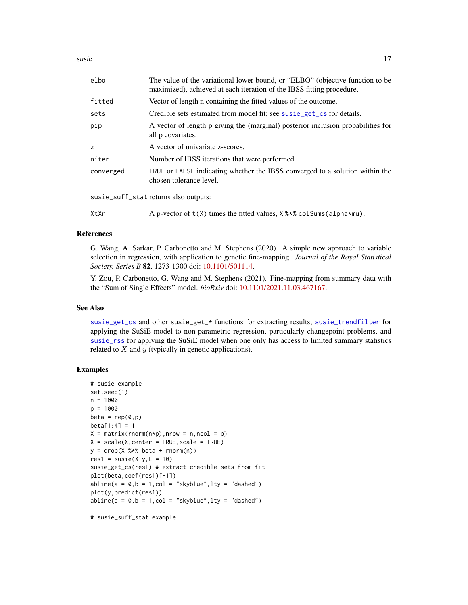<span id="page-16-0"></span>susie  $17$ 

| elbo      | The value of the variational lower bound, or "ELBO" (objective function to be<br>maximized), achieved at each iteration of the IBSS fitting procedure. |
|-----------|--------------------------------------------------------------------------------------------------------------------------------------------------------|
| fitted    | Vector of length n containing the fitted values of the outcome.                                                                                        |
| sets      | Credible sets estimated from model fit; see susie_get_cs for details.                                                                                  |
| pip       | A vector of length p giving the (marginal) posterior inclusion probabilities for<br>all p covariates.                                                  |
| z         | A vector of univariate z-scores.                                                                                                                       |
| niter     | Number of IBSS iterations that were performed.                                                                                                         |
| converged | TRUE or FALSE indicating whether the IBSS converged to a solution within the<br>chosen tolerance level.                                                |
|           |                                                                                                                                                        |

susie\_suff\_stat returns also outputs:

XtXr  $\Delta p$ -vector of  $t(X)$  times the fitted values,  $X$  %  $\infty$  colSums (alpha $\ast$ mu).

#### References

G. Wang, A. Sarkar, P. Carbonetto and M. Stephens (2020). A simple new approach to variable selection in regression, with application to genetic fine-mapping. *Journal of the Royal Statistical Society, Series B* 82, 1273-1300 doi: [10.1101/501114.](https://doi.org/10.1101/501114)

Y. Zou, P. Carbonetto, G. Wang and M. Stephens (2021). Fine-mapping from summary data with the "Sum of Single Effects" model. *bioRxiv* doi: [10.1101/2021.11.03.467167.](https://doi.org/10.1101/2021.11.03.467167)

#### See Also

[susie\\_get\\_cs](#page-18-1) and other susie\_get\_\* functions for extracting results; [susie\\_trendfilter](#page-28-1) for applying the SuSiE model to non-parametric regression, particularly changepoint problems, and [susie\\_rss](#page-25-1) for applying the SuSiE model when one only has access to limited summary statistics related to  $X$  and  $y$  (typically in genetic applications).

#### Examples

```
# susie example
set.seed(1)
n = 1000
p = 1000
beta = rep(0,p)beta[1:4] = 1X = matrix(rnorm(n*p), nrow = n, ncol = p)X = scale(X, center = TRUE, scale = TRUE)y = drop(X %*% beta + rnorm(n))res1 = susie(X,y,L = 10)susie_get_cs(res1) # extract credible sets from fit
plot(beta,coef(res1)[-1])
abline(a = 0, b = 1, col = "skyblue", lty = "dashed")plot(y,predict(res1))
abline(a = 0, b = 1, col = "skyblue", lty = "dashed")
```
# susie\_suff\_stat example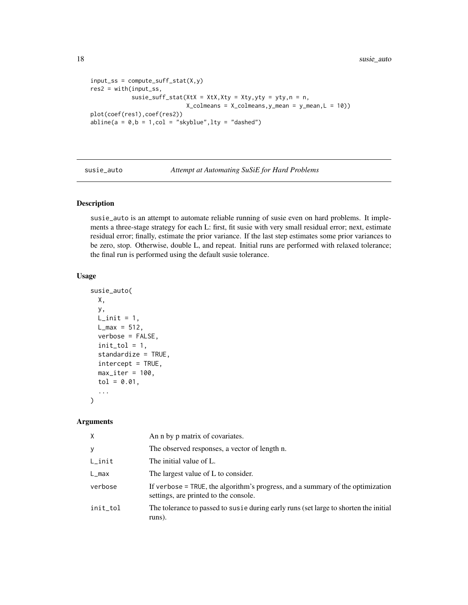```
input\_ss = compute\_suff\_stat(X, y)res2 = with(input_ss,
              susie_suff_stat(XtX = XtX,Xty = Xty,yty = yty,n = n,
                                X_{\text{colmeans}} = X_{\text{colmeans}}, y_{\text{mean}} = y_{\text{mean}}, L = 10)plot(coef(res1),coef(res2))
abline(a = 0, b = 1, col = "skyblue", lty = "dashed")
```
susie\_auto *Attempt at Automating SuSiE for Hard Problems*

#### Description

susie\_auto is an attempt to automate reliable running of susie even on hard problems. It implements a three-stage strategy for each L: first, fit susie with very small residual error; next, estimate residual error; finally, estimate the prior variance. If the last step estimates some prior variances to be zero, stop. Otherwise, double L, and repeat. Initial runs are performed with relaxed tolerance; the final run is performed using the default susie tolerance.

#### Usage

```
susie_auto(
 X,
 y,
 L_init = 1,
 L_{max} = 512,
 verbose = FALSE,
  init\_tol = 1,
  standardize = TRUE,
  intercept = TRUE,
 max\_iter = 100,
  tol = 0.01,...
)
```
#### Arguments

| X         | An n by p matrix of covariates.                                                                                         |
|-----------|-------------------------------------------------------------------------------------------------------------------------|
| У         | The observed responses, a vector of length n.                                                                           |
| $L$ _init | The initial value of L.                                                                                                 |
| L_max     | The largest value of L to consider.                                                                                     |
| verbose   | If verbose = TRUE, the algorithm's progress, and a summary of the optimization<br>settings, are printed to the console. |
| init_tol  | The tolerance to passed to susie during early runs (set large to shorten the initial<br>runs).                          |

<span id="page-17-0"></span>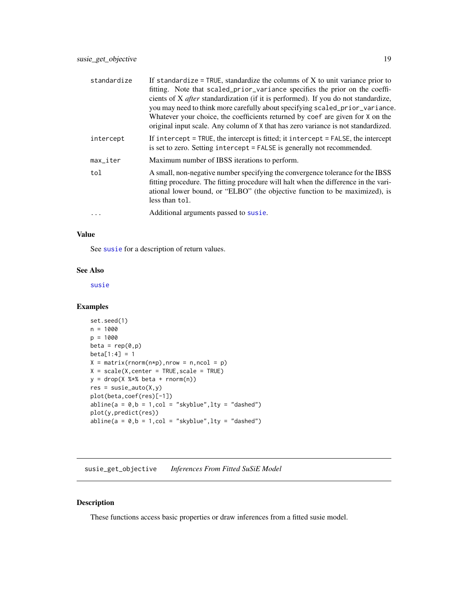<span id="page-18-0"></span>

| standardize            | If standardize = TRUE, standardize the columns of $X$ to unit variance prior to<br>fitting. Note that scaled_prior_variance specifies the prior on the coeffi-<br>cients of X <i>after</i> standardization (if it is performed). If you do not standardize,<br>you may need to think more carefully about specifying scaled_prior_variance.<br>Whatever your choice, the coefficients returned by coef are given for X on the<br>original input scale. Any column of X that has zero variance is not standardized. |
|------------------------|--------------------------------------------------------------------------------------------------------------------------------------------------------------------------------------------------------------------------------------------------------------------------------------------------------------------------------------------------------------------------------------------------------------------------------------------------------------------------------------------------------------------|
| intercept              | If intercept = TRUE, the intercept is fitted; it intercept = FALSE, the intercept<br>is set to zero. Setting intercept = FALSE is generally not recommended.                                                                                                                                                                                                                                                                                                                                                       |
| $max$ <sub>Liter</sub> | Maximum number of IBSS iterations to perform.                                                                                                                                                                                                                                                                                                                                                                                                                                                                      |
| tol                    | A small, non-negative number specifying the convergence tolerance for the IBSS<br>fitting procedure. The fitting procedure will halt when the difference in the vari-<br>ational lower bound, or "ELBO" (the objective function to be maximized), is<br>less than tol.                                                                                                                                                                                                                                             |
|                        | Additional arguments passed to susie.                                                                                                                                                                                                                                                                                                                                                                                                                                                                              |

#### Value

See [susie](#page-11-1) for a description of return values.

#### See Also

[susie](#page-11-1)

#### Examples

```
set.seed(1)
n = 1000
p = 1000
beta = rep(0,p)beta[1:4] = 1X = matrix(rnorm(n*p), nrow = n, ncol = p)X = scale(X, center = TRUE, scale = TRUE)y = drop(X % * % * beta + rnorm(n))res = susie_auto(X,y)plot(beta,coef(res)[-1])
abline(a = 0, b = 1, col = "skyblue", lty = "dashed")plot(y,predict(res))
abline(a = 0, b = 1, col = "skyblue", lty = "dashed")
```
susie\_get\_objective *Inferences From Fitted SuSiE Model*

#### <span id="page-18-1"></span>Description

These functions access basic properties or draw inferences from a fitted susie model.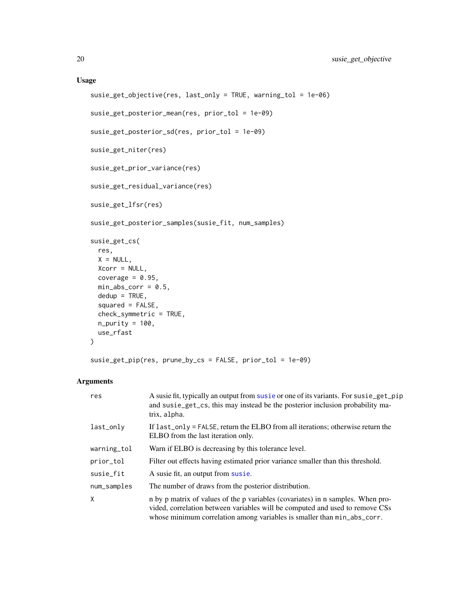#### Usage

```
susie_get_objective(res, last_only = TRUE, warning_tol = 1e-06)
susie_get_posterior_mean(res, prior_tol = 1e-09)
susie_get_posterior_sd(res, prior_tol = 1e-09)
susie_get_niter(res)
susie_get_prior_variance(res)
susie_get_residual_variance(res)
susie_get_lfsr(res)
susie_get_posterior_samples(susie_fit, num_samples)
susie_get_cs(
 res,
 X = NULL,Xcorr = NULL,
  coverage = 0.95,
 min\_abs\_corr = 0.5,
 dedup = TRUE,squared = FALSE,
  check_symmetric = TRUE,
 n\_purity = 100,use_rfast
\mathcal{L}
```
susie\_get\_pip(res, prune\_by\_cs = FALSE, prior\_tol = 1e-09)

#### Arguments

| res         | A susie fit, typically an output from susie or one of its variants. For susie_get_pip<br>and susie_get_cs, this may instead be the posterior inclusion probability ma-<br>trix, alpha.                                                          |
|-------------|-------------------------------------------------------------------------------------------------------------------------------------------------------------------------------------------------------------------------------------------------|
| last_only   | If $last\_only = FALSE$ , return the ELBO from all iterations; otherwise return the<br>ELBO from the last iteration only.                                                                                                                       |
| warning_tol | Warn if ELBO is decreasing by this tolerance level.                                                                                                                                                                                             |
| prior_tol   | Filter out effects having estimated prior variance smaller than this threshold.                                                                                                                                                                 |
| susie_fit   | A susie fit, an output from susie.                                                                                                                                                                                                              |
| num_samples | The number of draws from the posterior distribution.                                                                                                                                                                                            |
| X           | n by p matrix of values of the p variables (covariates) in n samples. When pro-<br>vided, correlation between variables will be computed and used to remove CSs<br>whose minimum correlation among variables is smaller than $min\_abs\_corr$ . |

<span id="page-19-0"></span>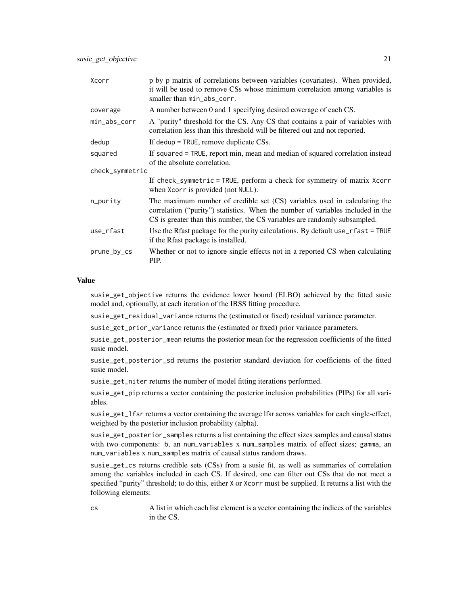| Xcorr           | p by p matrix of correlations between variables (covariates). When provided,<br>it will be used to remove CSs whose minimum correlation among variables is<br>smaller than min_abs_corr.                                                  |  |
|-----------------|-------------------------------------------------------------------------------------------------------------------------------------------------------------------------------------------------------------------------------------------|--|
| coverage        | A number between 0 and 1 specifying desired coverage of each CS.                                                                                                                                                                          |  |
| min_abs_corr    | A "purity" threshold for the CS. Any CS that contains a pair of variables with<br>correlation less than this threshold will be filtered out and not reported.                                                                             |  |
| dedup           | If dedup $=$ TRUE, remove duplicate CSs.                                                                                                                                                                                                  |  |
| squared         | If squared = TRUE, report min, mean and median of squared correlation instead<br>of the absolute correlation.                                                                                                                             |  |
| check_symmetric |                                                                                                                                                                                                                                           |  |
|                 | If check_symmetric = TRUE, perform a check for symmetry of matrix Xcorr<br>when Xcorr is provided (not NULL).                                                                                                                             |  |
| n_purity        | The maximum number of credible set (CS) variables used in calculating the<br>correlation ("purity") statistics. When the number of variables included in the<br>CS is greater than this number, the CS variables are randomly subsampled. |  |
| use_rfast       | Use the Rfast package for the purity calculations. By default use_rfast = TRUE<br>if the Rfast package is installed.                                                                                                                      |  |
| prune_by_cs     | Whether or not to ignore single effects not in a reported CS when calculating<br>PIP.                                                                                                                                                     |  |

#### Value

susie\_get\_objective returns the evidence lower bound (ELBO) achieved by the fitted susie model and, optionally, at each iteration of the IBSS fitting procedure.

susie\_get\_residual\_variance returns the (estimated or fixed) residual variance parameter.

susie\_get\_prior\_variance returns the (estimated or fixed) prior variance parameters.

susie\_get\_posterior\_mean returns the posterior mean for the regression coefficients of the fitted susie model.

susie\_get\_posterior\_sd returns the posterior standard deviation for coefficients of the fitted susie model.

susie\_get\_niter returns the number of model fitting iterations performed.

susie\_get\_pip returns a vector containing the posterior inclusion probabilities (PIPs) for all variables.

susie\_get\_lfsr returns a vector containing the average lfsr across variables for each single-effect, weighted by the posterior inclusion probability (alpha).

susie\_get\_posterior\_samples returns a list containing the effect sizes samples and causal status with two components: b, an num\_variables x num\_samples matrix of effect sizes; gamma, an num\_variables x num\_samples matrix of causal status random draws.

susie\_get\_cs returns credible sets (CSs) from a susie fit, as well as summaries of correlation among the variables included in each CS. If desired, one can filter out CSs that do not meet a specified "purity" threshold; to do this, either X or Xcorr must be supplied. It returns a list with the following elements:

cs A list in which each list element is a vector containing the indices of the variables in the CS.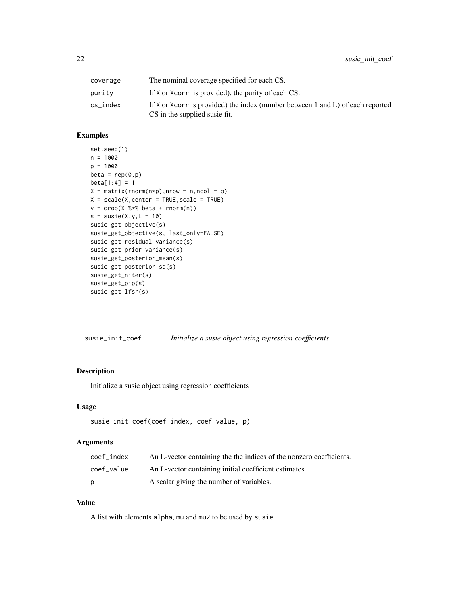<span id="page-21-0"></span>

| coverage | The nominal coverage specified for each CS.                                                                     |
|----------|-----------------------------------------------------------------------------------------------------------------|
| purity   | If X or Xcorr is provided), the purity of each CS.                                                              |
| cs_index | If X or Xcorr is provided) the index (number between 1 and L) of each reported<br>CS in the supplied susie fit. |

#### Examples

```
set.seed(1)
n = 1000
p = 1000
beta = rep(0,p)beta[1:4] = 1X = matrix(rnorm(n*p), nrow = n, ncol = p)X = scale(X, center = TRUE, scale = TRUE)y = drop(X % * % * beta + rnorm(n))s = susie(X,y,L = 10)susie_get_objective(s)
susie_get_objective(s, last_only=FALSE)
susie_get_residual_variance(s)
susie_get_prior_variance(s)
susie_get_posterior_mean(s)
susie_get_posterior_sd(s)
susie_get_niter(s)
susie_get_pip(s)
susie_get_lfsr(s)
```
susie\_init\_coef *Initialize a susie object using regression coefficients*

#### Description

Initialize a susie object using regression coefficients

#### Usage

```
susie_init_coef(coef_index, coef_value, p)
```
#### Arguments

| coef index | An L-vector containing the the indices of the nonzero coefficients. |
|------------|---------------------------------------------------------------------|
| coef value | An L-vector containing initial coefficient estimates.               |
| D          | A scalar giving the number of variables.                            |

#### Value

A list with elements alpha, mu and mu2 to be used by susie.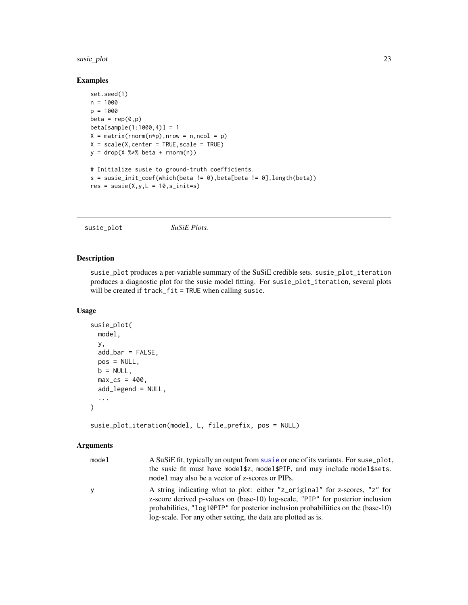#### <span id="page-22-0"></span>susie\_plot 23

#### Examples

```
set.seed(1)
n = 1000
p = 1000
beta = rep(0,p)beta[sample(1:1000,4)] = 1
X = matrix(rnorm(n*p), nrow = n, ncol = p)X = scale(X, center = TRUE, scale = TRUE)y = drop(X % * % * beta + rnorm(n))# Initialize susie to ground-truth coefficients.
s = susie\_init\_coeff(which(beta != 0),beta[beta != 0],length(beta))res = susie(X,y,L = 10, s_init=s)
```
susie\_plot *SuSiE Plots.*

#### Description

susie\_plot produces a per-variable summary of the SuSiE credible sets. susie\_plot\_iteration produces a diagnostic plot for the susie model fitting. For susie\_plot\_iteration, several plots will be created if track\_fit = TRUE when calling susie.

#### Usage

```
susie_plot(
  model,
 y,
  add_bar = FALSE,
 pos = NULL,
 b = NULL,max_c = 400,
  add_legend = NULL,
  ...
\mathcal{E}
```
susie\_plot\_iteration(model, L, file\_prefix, pos = NULL)

#### Arguments

| model | A SuSiE fit, typically an output from susie or one of its variants. For suse plot,<br>the susie fit must have model\$z, model\$PIP, and may include model\$sets.<br>model may also be a vector of z-scores or PIPs.                                                                                                |
|-------|--------------------------------------------------------------------------------------------------------------------------------------------------------------------------------------------------------------------------------------------------------------------------------------------------------------------|
| ٧     | A string indicating what to plot: either "z_original" for z-scores, "z" for<br>z-score derived p-values on (base-10) log-scale, "PIP" for posterior inclusion<br>probabilities, "log10PIP" for posterior inclusion probabilities on the (base-10)<br>log-scale. For any other setting, the data are plotted as is. |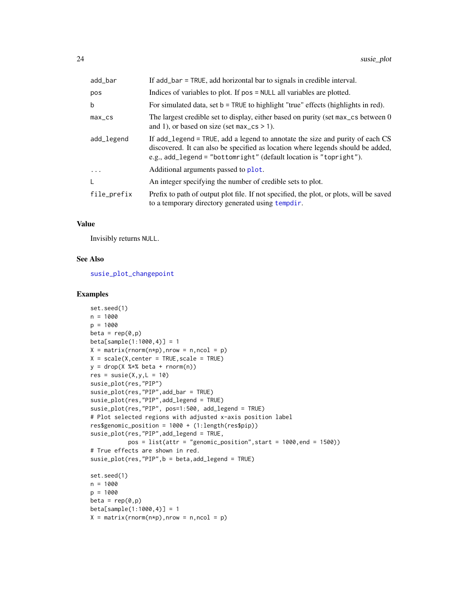<span id="page-23-0"></span>

| add_bar     | If add_bar = TRUE, add horizontal bar to signals in credible interval.                                                                                                                                                                 |
|-------------|----------------------------------------------------------------------------------------------------------------------------------------------------------------------------------------------------------------------------------------|
| pos         | Indices of variables to plot. If pos = NULL all variables are plotted.                                                                                                                                                                 |
| b           | For simulated data, set $b = TRUE$ to highlight "true" effects (highlights in red).                                                                                                                                                    |
| $max_c$     | The largest credible set to display, either based on purity (set max cs between 0<br>and 1), or based on size (set $max_c s > 1$ ).                                                                                                    |
| add_legend  | If add legend = TRUE, add a legend to annotate the size and purity of each CS<br>discovered. It can also be specified as location where legends should be added,<br>e.g., add_legend = "bottomright" (default location is "topright"). |
| .           | Additional arguments passed to plot.                                                                                                                                                                                                   |
| L           | An integer specifying the number of credible sets to plot.                                                                                                                                                                             |
| file_prefix | Prefix to path of output plot file. If not specified, the plot, or plots, will be saved<br>to a temporary directory generated using tempdir.                                                                                           |

#### Value

Invisibly returns NULL.

#### See Also

[susie\\_plot\\_changepoint](#page-24-1)

#### Examples

```
set.seed(1)
n = 1000
p = 1000
beta = rep(0,p)beta[sample(1:1000,4)] = 1
X = matrix(rnorm(n*p), nrow = n, ncol = p)X = scale(X, center = TRUE, scale = TRUE)y = drop(X %*% beta + rnorm(n))
res = susie(X,y,L = 10)susie_plot(res,"PIP")
susie_plot(res,"PIP",add_bar = TRUE)
susie_plot(res,"PIP",add_legend = TRUE)
susie_plot(res,"PIP", pos=1:500, add_legend = TRUE)
# Plot selected regions with adjusted x-axis position label
res$genomic_position = 1000 + (1:length(res$pip))
susie_plot(res,"PIP",add_legend = TRUE,
           pos = list(attr = "genomic_position",start = 1000,end = 1500))
# True effects are shown in red.
susie_plot(res,"PIP",b = beta,add_legend = TRUE)
set.seed(1)
n = 1000
p = 1000beta = rep(0,p)beta[sample(1:1000,4)] = 1
X = matrix(rnorm(n*p), nrow = n, ncol = p)
```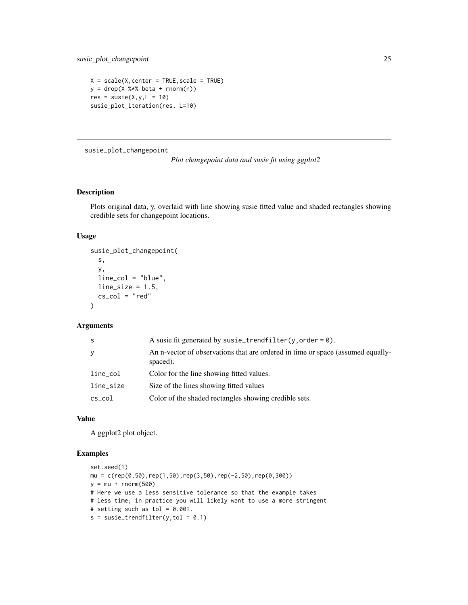```
X = scale(X, center = TRUE, scale = TRUE)y = drop(X % * % * beta + rnorm(n))res = susie(X,y,L = 10)susie_plot_iteration(res, L=10)
```
<span id="page-24-1"></span>susie\_plot\_changepoint

```
Plot changepoint data and susie fit using ggplot2
```
#### Description

Plots original data, y, overlaid with line showing susie fitted value and shaded rectangles showing credible sets for changepoint locations.

#### Usage

```
susie_plot_changepoint(
 s,
 y,
 line_col = "blue",
 line\_size = 1.5,
 cs\_col = "red")
```
#### Arguments

| S           | A susie fit generated by susie_trendfilter(y, order = $\theta$ ).                           |
|-------------|---------------------------------------------------------------------------------------------|
| y           | An n-vector of observations that are ordered in time or space (assumed equally-<br>spaced). |
| $line\_col$ | Color for the line showing fitted values.                                                   |
| line_size   | Size of the lines showing fitted values                                                     |
| $cs\_{col}$ | Color of the shaded rectangles showing credible sets.                                       |

#### Value

A ggplot2 plot object.

#### Examples

```
set.seed(1)
mu = c(rep(\theta, 5\theta), rep(1,5\theta),rep(3,5\theta),rep(-2,5\theta),rep(\theta,3\theta\theta))y = mu + rnorm(500)# Here we use a less sensitive tolerance so that the example takes
# less time; in practice you will likely want to use a more stringent
# setting such as tol = 0.001.
s = susie_trendfilter(y, tol = 0.1)
```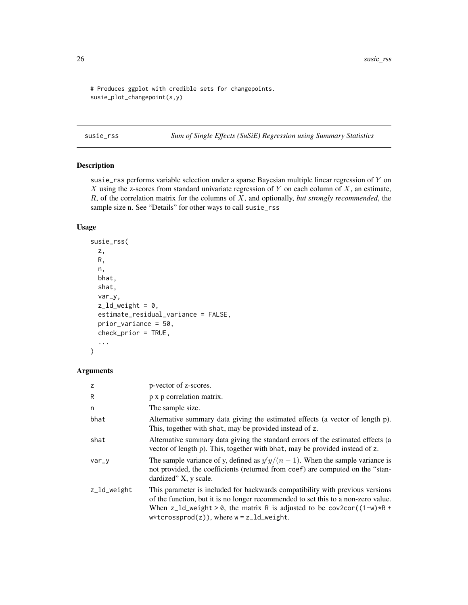```
# Produces ggplot with credible sets for changepoints.
susie_plot_changepoint(s,y)
```
<span id="page-25-1"></span>susie\_rss *Sum of Single Effects (SuSiE) Regression using Summary Statistics*

#### Description

susie\_rss performs variable selection under a sparse Bayesian multiple linear regression of Y on  $X$  using the z-scores from standard univariate regression of  $Y$  on each column of  $X$ , an estimate, R, of the correlation matrix for the columns of X, and optionally, *but strongly recommended*, the sample size n. See "Details" for other ways to call susie\_rss

#### Usage

```
susie_rss(
 z,
 R,
 n,
 bhat,
 shat,
 var_y,
 z_l = 0,
 estimate_residual_variance = FALSE,
 prior_variance = 50,
 check_prior = TRUE,
  ...
```

```
)
```
#### Arguments

| z           | p-vector of z-scores.                                                                                                                                                                                                                                                                            |
|-------------|--------------------------------------------------------------------------------------------------------------------------------------------------------------------------------------------------------------------------------------------------------------------------------------------------|
| R           | p x p correlation matrix.                                                                                                                                                                                                                                                                        |
| n           | The sample size.                                                                                                                                                                                                                                                                                 |
| bhat        | Alternative summary data giving the estimated effects (a vector of length p).<br>This, together with shat, may be provided instead of z.                                                                                                                                                         |
| shat        | Alternative summary data giving the standard errors of the estimated effects (a<br>vector of length p). This, together with bhat, may be provided instead of z.                                                                                                                                  |
| $var_y$     | The sample variance of y, defined as $y'y/(n-1)$ . When the sample variance is<br>not provided, the coefficients (returned from coef) are computed on the "stan-<br>dardized" X, y scale.                                                                                                        |
| z_ld_weight | This parameter is included for backwards compatibility with previous versions<br>of the function, but it is no longer recommended to set this to a non-zero value.<br>When z_ld_weight > 0, the matrix R is adjusted to be cov2cor( $(1-w)*R +$<br>$w*tcrossprod(z)),$ where $w = z_l d$ weight. |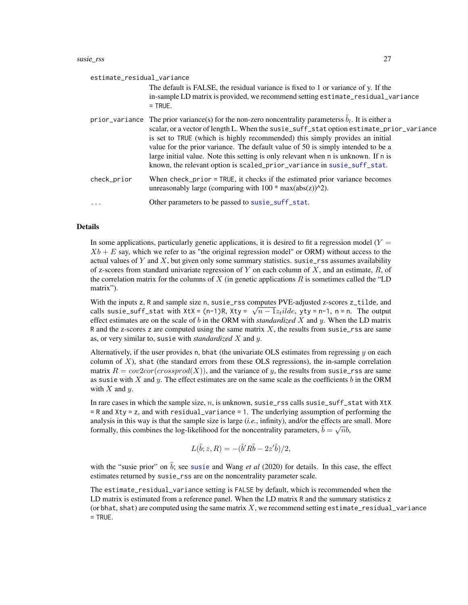<span id="page-26-0"></span>

| estimate_residual_variance |                                                                                                                                                                                                                                                                                                                                                                                                                                                                                                                                               |  |
|----------------------------|-----------------------------------------------------------------------------------------------------------------------------------------------------------------------------------------------------------------------------------------------------------------------------------------------------------------------------------------------------------------------------------------------------------------------------------------------------------------------------------------------------------------------------------------------|--|
|                            | The default is FALSE, the residual variance is fixed to 1 or variance of y. If the<br>in-sample LD matrix is provided, we recommend setting estimate_residual_variance<br>$=$ TRUE.                                                                                                                                                                                                                                                                                                                                                           |  |
|                            | prior_variance The prior variance(s) for the non-zero noncentrality parameterss $\hat{b}_l$ . It is either a<br>scalar, or a vector of length L. When the susie_suff_stat option estimate_prior_variance<br>is set to TRUE (which is highly recommended) this simply provides an initial<br>value for the prior variance. The default value of 50 is simply intended to be a<br>large initial value. Note this setting is only relevant when n is unknown. If n is<br>known, the relevant option is scaled_prior_variance in susie_suff_stat. |  |
| check_prior                | When check_prior = TRUE, it checks if the estimated prior variance becomes<br>unreasonably large (comparing with $100 * max(abs(z))^2$ ).                                                                                                                                                                                                                                                                                                                                                                                                     |  |
| $\cdots$                   | Other parameters to be passed to susie_suff_stat.                                                                                                                                                                                                                                                                                                                                                                                                                                                                                             |  |

#### Details

In some applications, particularly genetic applications, it is desired to fit a regression model  $(Y =$  $Xb + E$  say, which we refer to as "the original regression model" or ORM) without access to the actual values of Y and X, but given only some summary statistics. susie\_rss assumes availability of z-scores from standard univariate regression of Y on each column of X, and an estimate,  $R$ , of the correlation matrix for the columns of X (in genetic applications  $R$  is sometimes called the "LD matrix").

With the inputs z, R and sample size n, susie\_rss computes PVE-adjusted z-scores z\_tilde, and with the inputs z,  $\kappa$  and sample size n, susie\_r ss computes  $\kappa$  v E-adjusted z-scores z\_tinde, and calls susie\_suff\_stat with  $\lambda$ t $x = (n-1)R$ ,  $\lambda$ t $y = \sqrt{n-1}z_t$ *ilde*,  $y$ t $y = n-1$ ,  $n = n$ . The output effect estimates are on the scale of b in the ORM with *standardized* X and y. When the LD matrix R and the z-scores z are computed using the same matrix  $X$ , the results from susie\_rss are same as, or very similar to, susie with *standardized* X and y.

Alternatively, if the user provides n, bhat (the univariate OLS estimates from regressing  $y$  on each column of  $X$ ), shat (the standard errors from these OLS regressions), the in-sample correlation matrix  $R = cov2cor(crossprod(X))$ , and the variance of y, the results from susie\_rss are same as susie with X and  $\gamma$ . The effect estimates are on the same scale as the coefficients b in the ORM with  $X$  and  $y$ .

In rare cases in which the sample size, n, is unknown, susie\_rss calls susie\_suff\_stat with  $X$ t $X$ = R and Xty = z, and with residual\_variance = 1. The underlying assumption of performing the analysis in this way is that the sample size is large (*i.e.*, infinity), and/or the effects are small. More analysis in this way is that the sample size is large (*i.e.*, minity), and/or the effects are<br>formally, this combines the log-likelihood for the noncentrality parameters,  $\tilde{b} = \sqrt{n}b$ ,

$$
L(\tilde{b}; z, R) = -(\tilde{b}'R\tilde{b} - 2z'\tilde{b})/2,
$$

with the "[susie](#page-11-1) prior" on  $\tilde{b}$ ; see susie and Wang *et al* (2020) for details. In this case, the effect estimates returned by susie\_rss are on the noncentrality parameter scale.

The estimate\_residual\_variance setting is FALSE by default, which is recommended when the LD matrix is estimated from a reference panel. When the LD matrix R and the summary statistics z (or bhat, shat) are computed using the same matrix  $X$ , we recommend setting estimate\_residual\_variance  $=$  TRUE.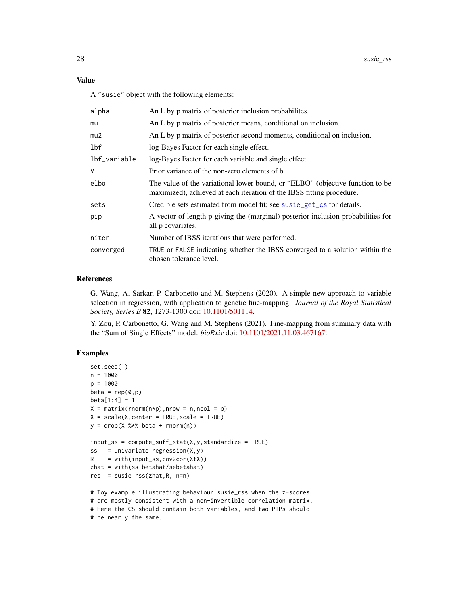#### <span id="page-27-0"></span>Value

A "susie" object with the following elements:

| alpha        | An L by p matrix of posterior inclusion probabilities.                                                                                                 |
|--------------|--------------------------------------------------------------------------------------------------------------------------------------------------------|
| mu           | An L by p matrix of posterior means, conditional on inclusion.                                                                                         |
| mu2          | An L by p matrix of posterior second moments, conditional on inclusion.                                                                                |
| lbf          | log-Bayes Factor for each single effect.                                                                                                               |
| lbf_variable | log-Bayes Factor for each variable and single effect.                                                                                                  |
| V            | Prior variance of the non-zero elements of b.                                                                                                          |
| elbo         | The value of the variational lower bound, or "ELBO" (objective function to be<br>maximized), achieved at each iteration of the IBSS fitting procedure. |
| sets         | Credible sets estimated from model fit; see susie_get_cs for details.                                                                                  |
| pip          | A vector of length p giving the (marginal) posterior inclusion probabilities for<br>all p covariates.                                                  |
| niter        | Number of IBSS iterations that were performed.                                                                                                         |
| converged    | TRUE or FALSE indicating whether the IBSS converged to a solution within the<br>chosen tolerance level.                                                |

#### References

G. Wang, A. Sarkar, P. Carbonetto and M. Stephens (2020). A simple new approach to variable selection in regression, with application to genetic fine-mapping. *Journal of the Royal Statistical Society, Series B* 82, 1273-1300 doi: [10.1101/501114.](https://doi.org/10.1101/501114)

Y. Zou, P. Carbonetto, G. Wang and M. Stephens (2021). Fine-mapping from summary data with the "Sum of Single Effects" model. *bioRxiv* doi: [10.1101/2021.11.03.467167.](https://doi.org/10.1101/2021.11.03.467167)

#### Examples

```
set.seed(1)
n = 1000
p = 1000beta = rep(0,p)beta[1:4] = 1X = matrix(rnorm(n*p), nrow = n, ncol = p)X = scale(X, center = TRUE, scale = TRUE)y = drop(X % * % * beta + rnorm(n))input\_ss = compute\_suff\_stat(X, y, standardize = TRUE)ss = univariate_regression(X,y)
R = with(input_s, cov2cor(XtX))zhat = with(ss,betahat/sebetahat)
res = susie_rss(zhat,R, n=n)
# Toy example illustrating behaviour susie_rss when the z-scores
# are mostly consistent with a non-invertible correlation matrix.
# Here the CS should contain both variables, and two PIPs should
```
<sup>#</sup> be nearly the same.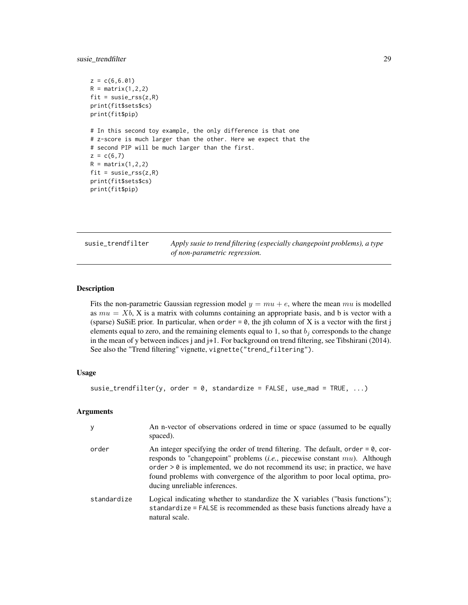<span id="page-28-0"></span>susie\_trendfilter 29

```
z = c(6, 6.01)R = matrix(1, 2, 2)fit = susie_rss(z,R)print(fit$sets$cs)
print(fit$pip)
# In this second toy example, the only difference is that one
# z-score is much larger than the other. Here we expect that the
# second PIP will be much larger than the first.
z = c(6,7)R = matrix(1, 2, 2)fit = susie_rss(z,R)print(fit$sets$cs)
print(fit$pip)
```
<span id="page-28-1"></span>

| susie trendfilter | Apply susie to trend filtering (especially changepoint problems), a type |
|-------------------|--------------------------------------------------------------------------|
|                   | of non-parametric regression.                                            |

#### Description

Fits the non-parametric Gaussian regression model  $y = mu + e$ , where the mean mu is modelled as  $mu = Xb$ , X is a matrix with columns containing an appropriate basis, and b is vector with a (sparse) SuSiE prior. In particular, when order  $= 0$ , the jth column of X is a vector with the first j elements equal to zero, and the remaining elements equal to 1, so that  $b_i$  corresponds to the change in the mean of y between indices j and j+1. For background on trend filtering, see Tibshirani (2014). See also the "Trend filtering" vignette, vignette("trend\_filtering").

#### Usage

```
susie_trendfilter(y, order = 0, standardize = FALSE, use_mad = TRUE, ...)
```
#### Arguments

| y           | An n-vector of observations ordered in time or space (assumed to be equally<br>spaced).                                                                                                                                                                                                                                                                                        |
|-------------|--------------------------------------------------------------------------------------------------------------------------------------------------------------------------------------------------------------------------------------------------------------------------------------------------------------------------------------------------------------------------------|
| order       | An integer specifying the order of trend filtering. The default, order $= 0$ , cor-<br>responds to "changepoint" problems ( <i>i.e.</i> , piecewise constant $mu$ ). Although<br>order $> 0$ is implemented, we do not recommend its use; in practice, we have<br>found problems with convergence of the algorithm to poor local optima, pro-<br>ducing unreliable inferences. |
| standardize | Logical indicating whether to standardize the X variables ("basis functions");<br>standardize = FALSE is recommended as these basis functions already have a<br>natural scale.                                                                                                                                                                                                 |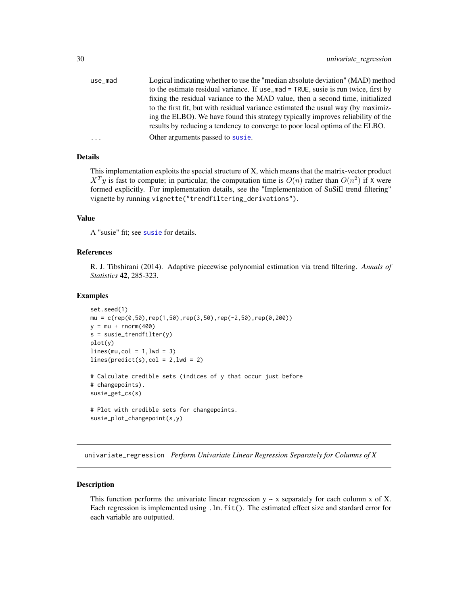<span id="page-29-0"></span>

#### Details

This implementation exploits the special structure of X, which means that the matrix-vector product  $X<sup>T</sup>y$  is fast to compute; in particular, the computation time is  $O(n)$  rather than  $O(n^2)$  if X were formed explicitly. For implementation details, see the "Implementation of SuSiE trend filtering" vignette by running vignette("trendfiltering\_derivations").

#### Value

A "susie" fit; see [susie](#page-11-1) for details.

#### References

R. J. Tibshirani (2014). Adaptive piecewise polynomial estimation via trend filtering. *Annals of Statistics* 42, 285-323.

#### Examples

```
set.seed(1)
mu = c(rep(0,50),rep(1,50),rep(3,50),rep(-2,50),rep(0,200))y = mu + rnorm(400)s = susie_trendfilter(y)
plot(y)
lines(mu, col = 1, lwd = 3)lines(predict(s), col = 2, lwd = 2)# Calculate credible sets (indices of y that occur just before
# changepoints).
susie_get_cs(s)
# Plot with credible sets for changepoints.
susie_plot_changepoint(s,y)
```
univariate\_regression *Perform Univariate Linear Regression Separately for Columns of X*

#### Description

This function performs the univariate linear regression  $y \sim x$  separately for each column x of X. Each regression is implemented using . Im. fit(). The estimated effect size and stardard error for each variable are outputted.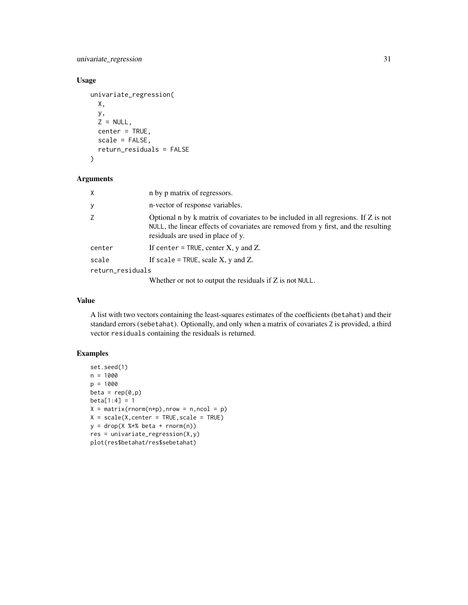univariate\_regression 31

#### Usage

```
univariate_regression(
 X,
 y,
  Z = NULL,center = TRUE,
  scale = FALSE,
  return_residuals = FALSE
)
```
#### Arguments

| X                | n by p matrix of regressors.                                                                                                                                                                                   |
|------------------|----------------------------------------------------------------------------------------------------------------------------------------------------------------------------------------------------------------|
| У                | n-vector of response variables.                                                                                                                                                                                |
| Z                | Optional n by k matrix of covariates to be included in all regressions. If Z is not<br>NULL, the linear effects of covariates are removed from y first, and the resulting<br>residuals are used in place of y. |
| center           | If center = TRUE, center $X$ , $y$ and $Z$ .                                                                                                                                                                   |
| scale            | If scale = TRUE, scale $X$ , $y$ and $Z$ .                                                                                                                                                                     |
| return_residuals |                                                                                                                                                                                                                |
|                  |                                                                                                                                                                                                                |

Whether or not to output the residuals if Z is not NULL.

#### Value

A list with two vectors containing the least-squares estimates of the coefficients (betahat) and their standard errors (sebetahat). Optionally, and only when a matrix of covariates Z is provided, a third vector residuals containing the residuals is returned.

#### Examples

```
set.seed(1)
n = 1000p = 1000
beta = rep(0,p)beta[1:4] = 1X = matrix(rnorm(n*p), nrow = n, ncol = p)X = scale(X, center = TRUE, scale = TRUE)y = drop(X % * % * beta + rnorm(n))res = univariate_regression(X,y)
plot(res$betahat/res$sebetahat)
```